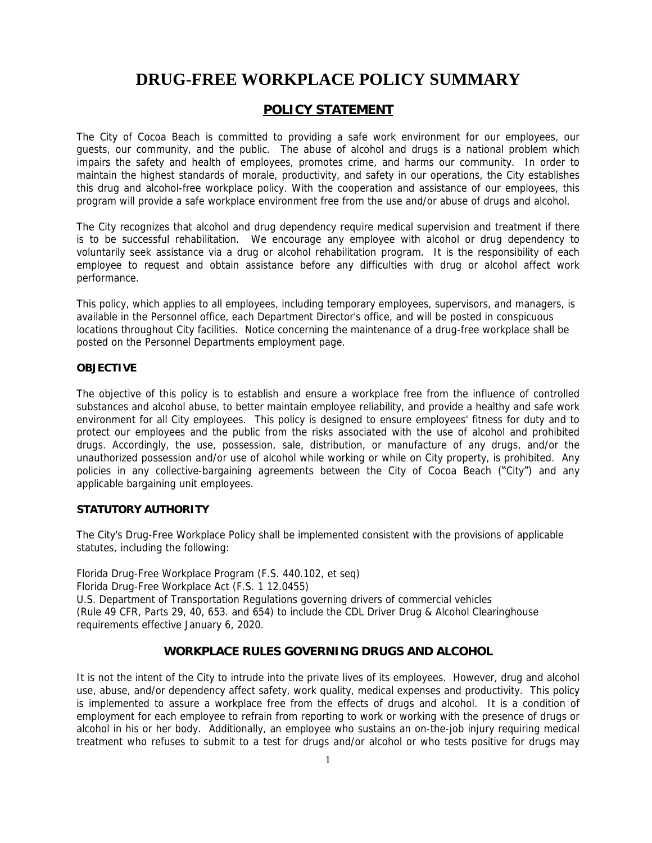# **DRUG-FREE WORKPLACE POLICY SUMMARY**

# *POLICY STATEMENT*

The City of Cocoa Beach is committed to providing a safe work environment for our employees, our guests, our community, and the public. The abuse of alcohol and drugs is a national problem which impairs the safety and health of employees, promotes crime, and harms our community. In order to maintain the highest standards of morale, productivity, and safety in our operations, the City establishes this drug and alcohol-free workplace policy. With the cooperation and assistance of our employees, this program will provide a safe workplace environment free from the use and/or abuse of drugs and alcohol.

The City recognizes that alcohol and drug dependency require medical supervision and treatment if there is to be successful rehabilitation. We encourage any employee with alcohol or drug dependency to voluntarily seek assistance via a drug or alcohol rehabilitation program. It is the responsibility of each employee to request and obtain assistance before any difficulties with drug or alcohol affect work performance.

This policy, which applies to all employees, including temporary employees, supervisors, and managers, is available in the Personnel office, each Department Director's office, and will be posted in conspicuous locations throughout City facilities. Notice concerning the maintenance of a drug-free workplace shall be posted on the Personnel Departments employment page.

#### *OBJECTIVE*

The objective of this policy is to establish and ensure a workplace free from the influence of controlled substances and alcohol abuse, to better maintain employee reliability, and provide a healthy and safe work environment for all City employees. This policy is designed to ensure employees' fitness for duty and to protect our employees and the public from the risks associated with the use of alcohol and prohibited drugs. Accordingly, the use, possession, sale, distribution, or manufacture of any drugs, and/or the unauthorized possession and/or use of alcohol while working or while on City property, is prohibited. Any policies in any collective-bargaining agreements between the City of Cocoa Beach ("City") and any applicable bargaining unit employees.

# *STATUTORY AUTHORITY*

The City's Drug-Free Workplace Policy shall be implemented consistent with the provisions of applicable statutes, including the following:

Florida Drug-Free Workplace Program (F.S. 440.102, et seq) Florida Drug-Free Workplace Act (F.S. 1 12.0455) U.S. Department of Transportation Regulations governing drivers of commercial vehicles (Rule 49 CFR, Parts 29, 40, 653. and 654) to include the CDL Driver Drug & Alcohol Clearinghouse requirements effective January 6, 2020.

# *WORKPLACE RULES GOVERNING DRUGS AND ALCOHOL*

It is not the intent of the City to intrude into the private lives of its employees. However, drug and alcohol use, abuse, and/or dependency affect safety, work quality, medical expenses and productivity. This policy is implemented to assure a workplace free from the effects of drugs and alcohol. It is a condition of employment for each employee to refrain from reporting to work or working with the presence of drugs or alcohol in his or her body. Additionally, an employee who sustains an on-the-job injury requiring medical treatment who refuses to submit to a test for drugs and/or alcohol or who tests positive for drugs may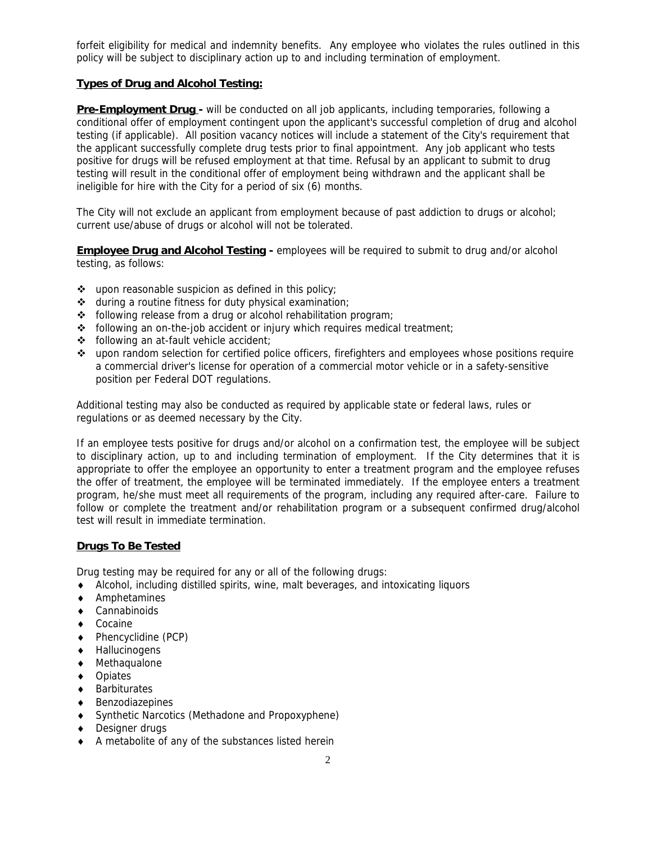forfeit eligibility for medical and indemnity benefits. Any employee who violates the rules outlined in this policy will be subject to disciplinary action up to and including termination of employment.

# **Types of Drug and Alcohol Testing:**

**Pre-Employment Drug -** will be conducted on all job applicants, including temporaries, following a conditional offer of employment contingent upon the applicant's successful completion of drug and alcohol testing (if applicable). All position vacancy notices will include a statement of the City's requirement that the applicant successfully complete drug tests prior to final appointment. Any job applicant who tests positive for drugs will be refused employment at that time. Refusal by an applicant to submit to drug testing will result in the conditional offer of employment being withdrawn and the applicant shall be ineligible for hire with the City for a period of six (6) months.

The City will not exclude an applicant from employment because of past addiction to drugs or alcohol; current use/abuse of drugs or alcohol will not be tolerated.

**Employee Drug and Alcohol Testing - employees will be required to submit to drug and/or alcohol** testing, as follows:

- upon reasonable suspicion as defined in this policy;
- $\triangle$  during a routine fitness for duty physical examination;
- \* following release from a drug or alcohol rehabilitation program;
- $\bullet$  following an on-the-job accident or injury which requires medical treatment;
- following an at-fault vehicle accident;
- upon random selection for certified police officers, firefighters and employees whose positions require a commercial driver's license for operation of a commercial motor vehicle or in a safety-sensitive position per Federal DOT regulations.

Additional testing may also be conducted as required by applicable state or federal laws, rules or regulations or as deemed necessary by the City.

If an employee tests positive for drugs and/or alcohol on a confirmation test, the employee will be subject to disciplinary action, up to and including termination of employment. If the City determines that it is appropriate to offer the employee an opportunity to enter a treatment program and the employee refuses the offer of treatment, the employee will be terminated immediately. If the employee enters a treatment program, he/she must meet all requirements of the program, including any required after-care. Failure to follow or complete the treatment and/or rehabilitation program or a subsequent confirmed drug/alcohol test will result in immediate termination.

# **Drugs To Be Tested**

Drug testing may be required for any or all of the following drugs:

- Alcohol, including distilled spirits, wine, malt beverages, and intoxicating liquors
- Amphetamines
- Cannabinoids
- ◆ Cocaine
- Phencyclidine (PCP)
- Hallucinogens
- Methaqualone
- ◆ Opiates
- Barbiturates
- Benzodiazepines
- Synthetic Narcotics (Methadone and Propoxyphene)
- ◆ Designer drugs
- A metabolite of any of the substances listed herein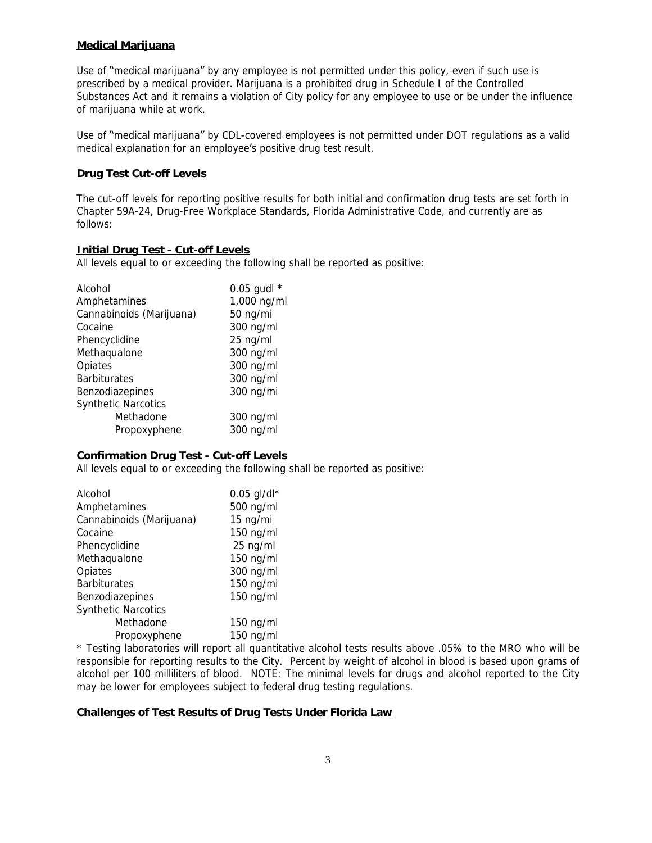# **Medical Marijuana**

Use of "medical marijuana" by any employee is not permitted under this policy, even if such use is prescribed by a medical provider. Marijuana is a prohibited drug in Schedule I of the Controlled Substances Act and it remains a violation of City policy for any employee to use or be under the influence of marijuana while at work.

Use of "medical marijuana" by CDL-covered employees is not permitted under DOT regulations as a valid medical explanation for an employee's positive drug test result.

# **Drug Test Cut-off Levels**

The cut-off levels for reporting positive results for both initial and confirmation drug tests are set forth in Chapter 59A-24, Drug-Free Workplace Standards, Florida Administrative Code, and currently are as follows:

# **Initial Drug Test - Cut-off Levels**

All levels equal to or exceeding the following shall be reported as positive:

| Alcohol                    | 0.05 gudl $*$ |
|----------------------------|---------------|
| Amphetamines               | 1,000 ng/ml   |
| Cannabinoids (Marijuana)   | 50 ng/mi      |
| Cocaine                    | 300 ng/ml     |
| Phencyclidine              | 25 ng/ml      |
| Methaqualone               | 300 ng/ml     |
| Opiates                    | 300 ng/ml     |
| <b>Barbiturates</b>        | 300 ng/ml     |
| Benzodiazepines            | 300 ng/mi     |
| <b>Synthetic Narcotics</b> |               |
| Methadone                  | 300 ng/ml     |
| Propoxyphene               | 300 ng/ml     |

# **Confirmation Drug Test - Cut-off Levels**

All levels equal to or exceeding the following shall be reported as positive:

| Alcohol                    | $0.05$ gl/dl* |
|----------------------------|---------------|
| Amphetamines               | 500 ng/ml     |
| Cannabinoids (Marijuana)   | 15 ng/mi      |
| Cocaine                    | 150 ng/ml     |
| Phencyclidine              | 25 ng/ml      |
| Methaqualone               | 150 ng/ml     |
| Opiates                    | 300 ng/ml     |
| <b>Barbiturates</b>        | 150 ng/mi     |
| Benzodiazepines            | 150 ng/ml     |
| <b>Synthetic Narcotics</b> |               |
| Methadone                  | 150 ng/ml     |
| Propoxyphene               | 150 ng/ml     |

\* Testing laboratories will report all quantitative alcohol tests results above .05% to the MRO who will be responsible for reporting results to the City. Percent by weight of alcohol in blood is based upon grams of alcohol per 100 milliliters of blood. NOTE: The minimal levels for drugs and alcohol reported to the City may be lower for employees subject to federal drug testing regulations.

# **Challenges of Test Results of Drug Tests Under Florida Law**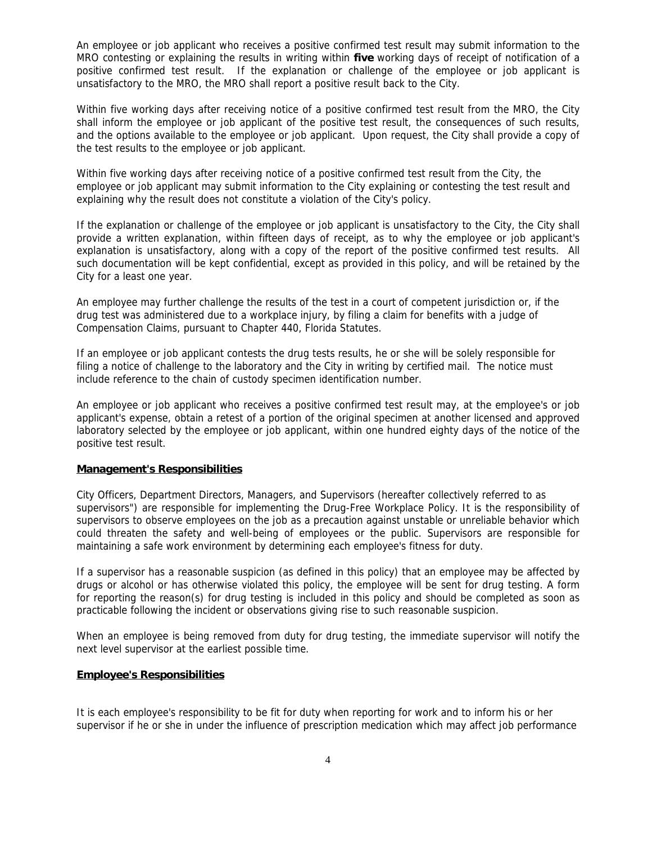An employee or job applicant who receives a positive confirmed test result may submit information to the MRO contesting or explaining the results in writing within **five** working days of receipt of notification of a positive confirmed test result. If the explanation or challenge of the employee or job applicant is unsatisfactory to the MRO, the MRO shall report a positive result back to the City.

Within five working days after receiving notice of a positive confirmed test result from the MRO, the City shall inform the employee or job applicant of the positive test result, the consequences of such results, and the options available to the employee or job applicant. Upon request, the City shall provide a copy of the test results to the employee or job applicant.

Within five working days after receiving notice of a positive confirmed test result from the City, the employee or job applicant may submit information to the City explaining or contesting the test result and explaining why the result does not constitute a violation of the City's policy.

If the explanation or challenge of the employee or job applicant is unsatisfactory to the City, the City shall provide a written explanation, within fifteen days of receipt, as to why the employee or job applicant's explanation is unsatisfactory, along with a copy of the report of the positive confirmed test results. All such documentation will be kept confidential, except as provided in this policy, and will be retained by the City for a least one year.

An employee may further challenge the results of the test in a court of competent jurisdiction or, if the drug test was administered due to a workplace injury, by filing a claim for benefits with a judge of Compensation Claims, pursuant to Chapter 440, Florida Statutes.

If an employee or job applicant contests the drug tests results, he or she will be solely responsible for filing a notice of challenge to the laboratory and the City in writing by certified mail. The notice must include reference to the chain of custody specimen identification number.

An employee or job applicant who receives a positive confirmed test result may, at the employee's or job applicant's expense, obtain a retest of a portion of the original specimen at another licensed and approved laboratory selected by the employee or job applicant, within one hundred eighty days of the notice of the positive test result.

# **Management's Responsibilities**

City Officers, Department Directors, Managers, and Supervisors (hereafter collectively referred to as supervisors") are responsible for implementing the Drug-Free Workplace Policy. It is the responsibility of supervisors to observe employees on the job as a precaution against unstable or unreliable behavior which could threaten the safety and well-being of employees or the public. Supervisors are responsible for maintaining a safe work environment by determining each employee's fitness for duty.

If a supervisor has a reasonable suspicion (as defined in this policy) that an employee may be affected by drugs or alcohol or has otherwise violated this policy, the employee will be sent for drug testing. A form for reporting the reason(s) for drug testing is included in this policy and should be completed as soon as practicable following the incident or observations giving rise to such reasonable suspicion.

When an employee is being removed from duty for drug testing, the immediate supervisor will notify the next level supervisor at the earliest possible time.

#### **Employee's Responsibilities**

It is each employee's responsibility to be fit for duty when reporting for work and to inform his or her supervisor if he or she in under the influence of prescription medication which may affect job performance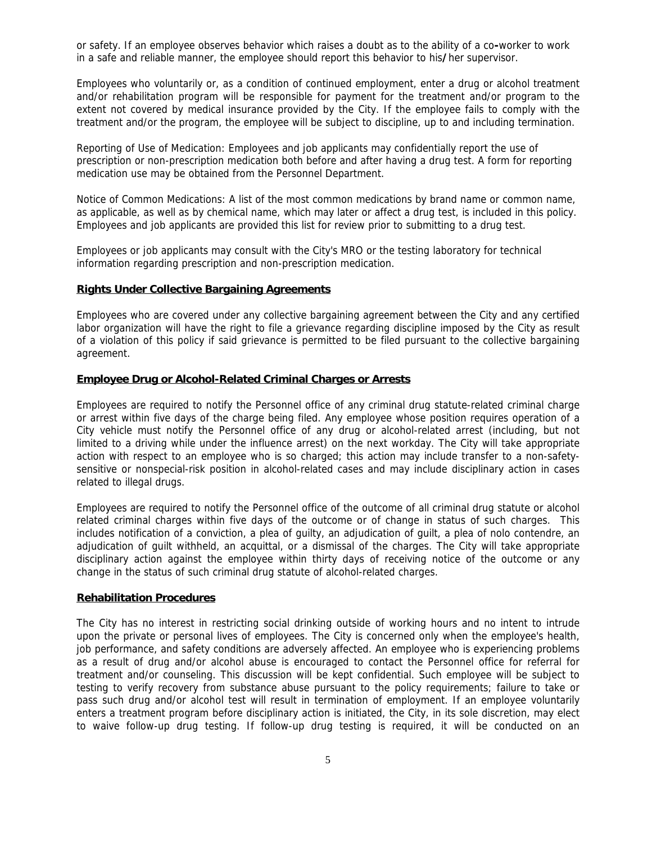or safety. If an employee observes behavior which raises a doubt as to the ability of a co**-**worker to work in a safe and reliable manner, the employee should report this behavior to his**/**her supervisor.

Employees who voluntarily or, as a condition of continued employment, enter a drug or alcohol treatment and/or rehabilitation program will be responsible for payment for the treatment and/or program to the extent not covered by medical insurance provided by the City. If the employee fails to comply with the treatment and/or the program, the employee will be subject to discipline, up to and including termination.

Reporting of Use of Medication: Employees and job applicants may confidentially report the use of prescription or non-prescription medication both before and after having a drug test. A form for reporting medication use may be obtained from the Personnel Department.

Notice of Common Medications: A list of the most common medications by brand name or common name, as applicable, as well as by chemical name, which may later or affect a drug test, is included in this policy. Employees and job applicants are provided this list for review prior to submitting to a drug test.

Employees or job applicants may consult with the City's MRO or the testing laboratory for technical information regarding prescription and non-prescription medication.

#### **Rights Under Collective Bargaining Agreements**

Employees who are covered under any collective bargaining agreement between the City and any certified labor organization will have the right to file a grievance regarding discipline imposed by the City as result of a violation of this policy if said grievance is permitted to be filed pursuant to the collective bargaining agreement.

#### **Employee Drug or Alcohol-Related Criminal Charges or Arrests**

Employees are required to notify the Personnel office of any criminal drug statute-related criminal charge or arrest within five days of the charge being filed. Any employee whose position requires operation of a City vehicle must notify the Personnel office of any drug or alcohol-related arrest (including, but not limited to a driving while under the influence arrest) on the next workday. The City will take appropriate action with respect to an employee who is so charged; this action may include transfer to a non-safetysensitive or nonspecial-risk position in alcohol-related cases and may include disciplinary action in cases related to illegal drugs.

Employees are required to notify the Personnel office of the outcome of all criminal drug statute or alcohol related criminal charges within five days of the outcome or of change in status of such charges. This includes notification of a conviction, a plea of guilty, an adjudication of guilt, a plea of nolo contendre, an adjudication of guilt withheld, an acquittal, or a dismissal of the charges. The City will take appropriate disciplinary action against the employee within thirty days of receiving notice of the outcome or any change in the status of such criminal drug statute of alcohol-related charges.

# **Rehabilitation Procedures**

The City has no interest in restricting social drinking outside of working hours and no intent to intrude upon the private or personal lives of employees. The City is concerned only when the employee's health, job performance, and safety conditions are adversely affected. An employee who is experiencing problems as a result of drug and/or alcohol abuse is encouraged to contact the Personnel office for referral for treatment and/or counseling. This discussion will be kept confidential. Such employee will be subject to testing to verify recovery from substance abuse pursuant to the policy requirements; failure to take or pass such drug and/or alcohol test will result in termination of employment. If an employee voluntarily enters a treatment program before disciplinary action is initiated, the City, in its sole discretion, may elect to waive follow-up drug testing. If follow-up drug testing is required, it will be conducted on an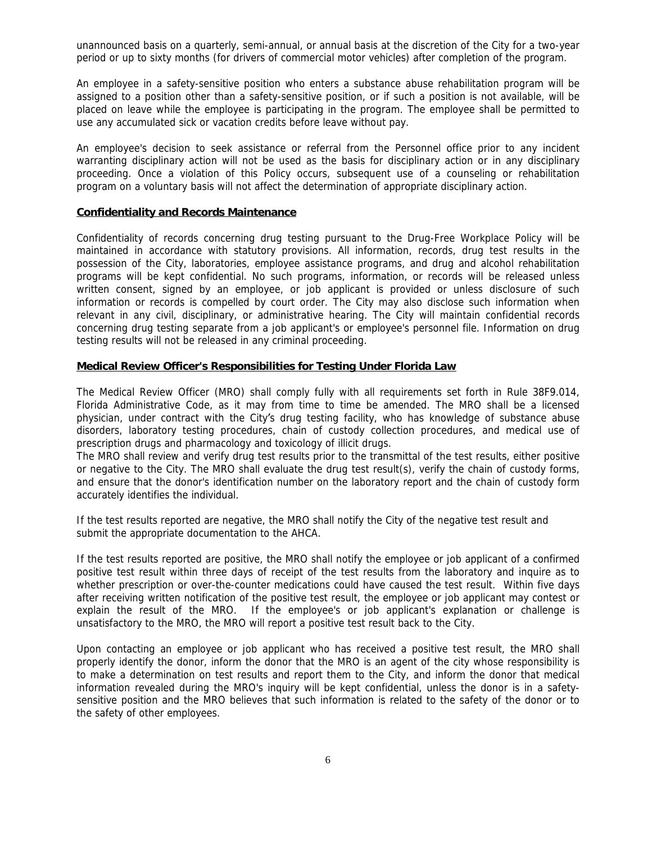unannounced basis on a quarterly, semi-annual, or annual basis at the discretion of the City for a two-year period or up to sixty months (for drivers of commercial motor vehicles) after completion of the program.

An employee in a safety-sensitive position who enters a substance abuse rehabilitation program will be assigned to a position other than a safety-sensitive position, or if such a position is not available, will be placed on leave while the employee is participating in the program. The employee shall be permitted to use any accumulated sick or vacation credits before leave without pay.

An employee's decision to seek assistance or referral from the Personnel office prior to any incident warranting disciplinary action will not be used as the basis for disciplinary action or in any disciplinary proceeding. Once a violation of this Policy occurs, subsequent use of a counseling or rehabilitation program on a voluntary basis will not affect the determination of appropriate disciplinary action.

#### **Confidentiality and Records Maintenance**

Confidentiality of records concerning drug testing pursuant to the Drug-Free Workplace Policy will be maintained in accordance with statutory provisions. All information, records, drug test results in the possession of the City, laboratories, employee assistance programs, and drug and alcohol rehabilitation programs will be kept confidential. No such programs, information, or records will be released unless written consent, signed by an employee, or job applicant is provided or unless disclosure of such information or records is compelled by court order. The City may also disclose such information when relevant in any civil, disciplinary, or administrative hearing. The City will maintain confidential records concerning drug testing separate from a job applicant's or employee's personnel file. Information on drug testing results will not be released in any criminal proceeding.

#### **Medical Review Officer's Responsibilities for Testing Under Florida Law**

The Medical Review Officer (MRO) shall comply fully with all requirements set forth in Rule 38F9.014, Florida Administrative Code, as it may from time to time be amended. The MRO shall be a licensed physician, under contract with the City's drug testing facility, who has knowledge of substance abuse disorders, laboratory testing procedures, chain of custody collection procedures, and medical use of prescription drugs and pharmacology and toxicology of illicit drugs.

The MRO shall review and verify drug test results prior to the transmittal of the test results, either positive or negative to the City. The MRO shall evaluate the drug test result(s), verify the chain of custody forms, and ensure that the donor's identification number on the laboratory report and the chain of custody form accurately identifies the individual.

If the test results reported are negative, the MRO shall notify the City of the negative test result and submit the appropriate documentation to the AHCA.

If the test results reported are positive, the MRO shall notify the employee or job applicant of a confirmed positive test result within three days of receipt of the test results from the laboratory and inquire as to whether prescription or over-the-counter medications could have caused the test result. Within five days after receiving written notification of the positive test result, the employee or job applicant may contest or explain the result of the MRO. If the employee's or job applicant's explanation or challenge is unsatisfactory to the MRO, the MRO will report a positive test result back to the City.

Upon contacting an employee or job applicant who has received a positive test result, the MRO shall properly identify the donor, inform the donor that the MRO is an agent of the city whose responsibility is to make a determination on test results and report them to the City, and inform the donor that medical information revealed during the MRO's inquiry will be kept confidential, unless the donor is in a safetysensitive position and the MRO believes that such information is related to the safety of the donor or to the safety of other employees.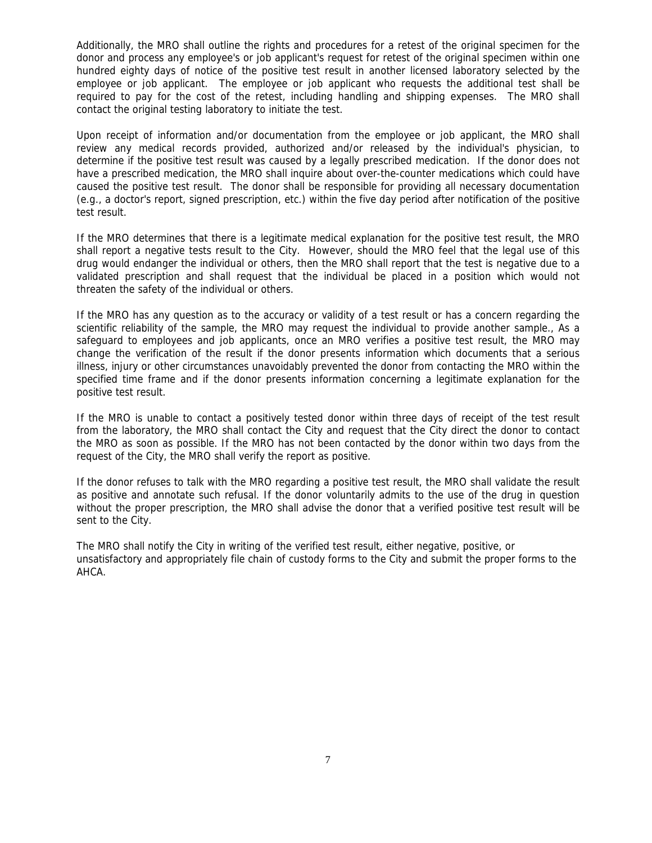Additionally, the MRO shall outline the rights and procedures for a retest of the original specimen for the donor and process any employee's or job applicant's request for retest of the original specimen within one hundred eighty days of notice of the positive test result in another licensed laboratory selected by the employee or job applicant. The employee or job applicant who requests the additional test shall be required to pay for the cost of the retest, including handling and shipping expenses. The MRO shall contact the original testing laboratory to initiate the test.

Upon receipt of information and/or documentation from the employee or job applicant, the MRO shall review any medical records provided, authorized and/or released by the individual's physician, to determine if the positive test result was caused by a legally prescribed medication. If the donor does not have a prescribed medication, the MRO shall inquire about over-the-counter medications which could have caused the positive test result. The donor shall be responsible for providing all necessary documentation (e.g., a doctor's report, signed prescription, etc.) within the five day period after notification of the positive test result.

If the MRO determines that there is a legitimate medical explanation for the positive test result, the MRO shall report a negative tests result to the City. However, should the MRO feel that the legal use of this drug would endanger the individual or others, then the MRO shall report that the test is negative due to a validated prescription and shall request that the individual be placed in a position which would not threaten the safety of the individual or others.

If the MRO has any question as to the accuracy or validity of a test result or has a concern regarding the scientific reliability of the sample, the MRO may request the individual to provide another sample., As a safeguard to employees and job applicants, once an MRO verifies a positive test result, the MRO may change the verification of the result if the donor presents information which documents that a serious illness, injury or other circumstances unavoidably prevented the donor from contacting the MRO within the specified time frame and if the donor presents information concerning a legitimate explanation for the positive test result.

If the MRO is unable to contact a positively tested donor within three days of receipt of the test result from the laboratory, the MRO shall contact the City and request that the City direct the donor to contact the MRO as soon as possible. If the MRO has not been contacted by the donor within two days from the request of the City, the MRO shall verify the report as positive.

If the donor refuses to talk with the MRO regarding a positive test result, the MRO shall validate the result as positive and annotate such refusal. If the donor voluntarily admits to the use of the drug in question without the proper prescription, the MRO shall advise the donor that a verified positive test result will be sent to the City.

The MRO shall notify the City in writing of the verified test result, either negative, positive, or unsatisfactory and appropriately file chain of custody forms to the City and submit the proper forms to the AHCA.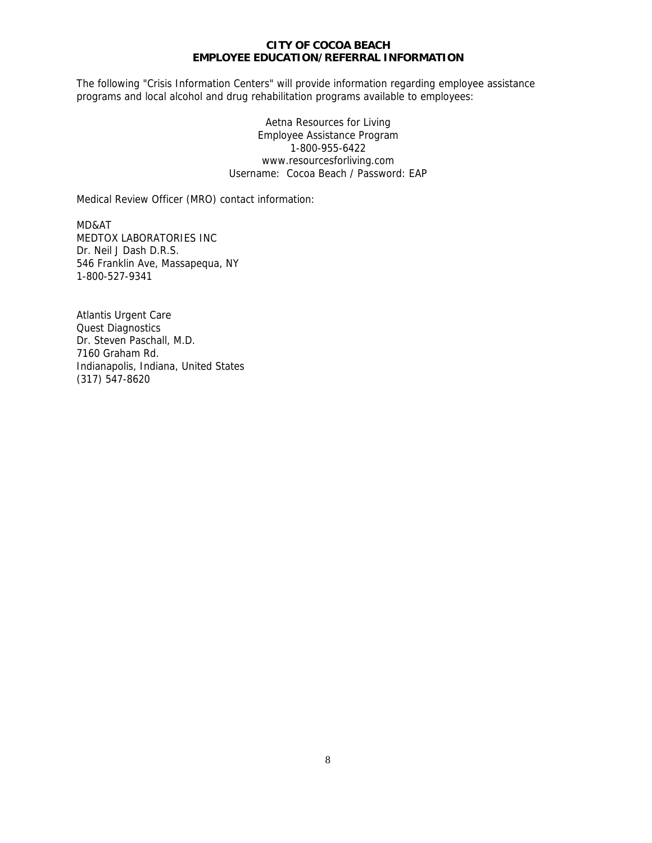#### **CITY OF COCOA BEACH EMPLOYEE EDUCATION/REFERRAL INFORMATION**

The following "Crisis Information Centers" will provide information regarding employee assistance programs and local alcohol and drug rehabilitation programs available to employees:

> Aetna Resources for Living Employee Assistance Program 1-800-955-6422 www.resourcesforliving.com Username: Cocoa Beach / Password: EAP

Medical Review Officer (MRO) contact information:

MD&AT MEDTOX LABORATORIES INC Dr. Neil J Dash D.R.S. 546 Franklin Ave, Massapequa, NY 1-800-527-9341

Atlantis Urgent Care Quest Diagnostics Dr. Steven Paschall, M.D. 7160 Graham Rd. Indianapolis, Indiana, United States (317) 547-8620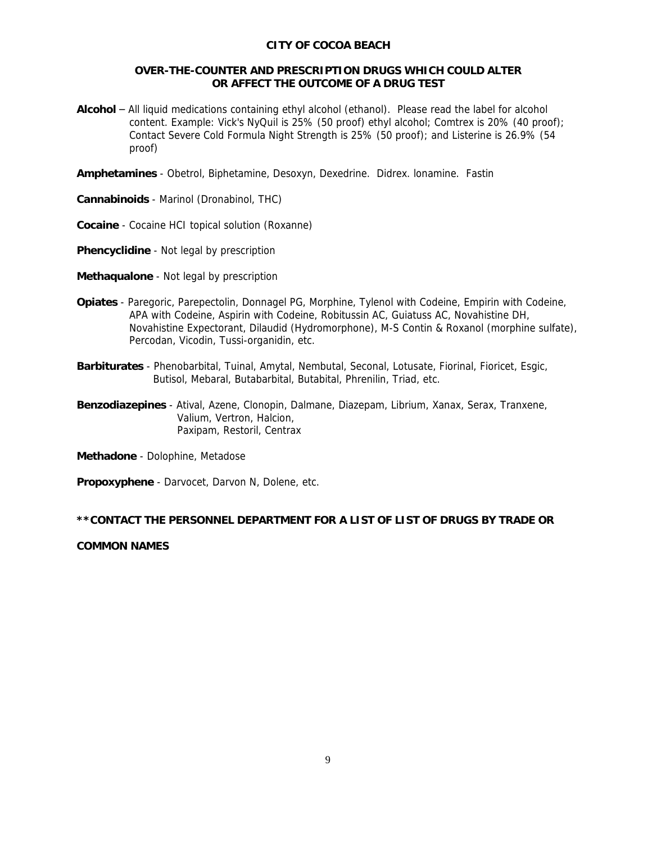#### **CITY OF COCOA BEACH**

# **OVER-THE-COUNTER AND PRESCRIPTION DRUGS WHICH COULD ALTER OR AFFECT THE OUTCOME OF A DRUG TEST**

**Alcohol** – All liquid medications containing ethyl alcohol (ethanol). Please read the label for alcohol content. Example: Vick's NyQuil is 25% (50 proof) ethyl alcohol; Comtrex is 20% (40 proof); Contact Severe Cold Formula Night Strength is 25% (50 proof); and Listerine is 26.9% (54 proof)

**Amphetamines** - Obetrol, Biphetamine, Desoxyn, Dexedrine. Didrex. lonamine. Fastin

**Cannabinoids** - Marinol (Dronabinol, THC)

**Cocaine** - Cocaine HCI topical solution (Roxanne)

**Phencyclidine** - Not legal by prescription

**Methaqualone** - Not legal by prescription

- **Opiates** Paregoric, Parepectolin, Donnagel PG, Morphine, Tylenol with Codeine, Empirin with Codeine, APA with Codeine, Aspirin with Codeine, Robitussin AC, Guiatuss AC, Novahistine DH, Novahistine Expectorant, Dilaudid (Hydromorphone), M-S Contin & Roxanol (morphine sulfate), Percodan, Vicodin, Tussi-organidin, etc.
- **Barbiturates** Phenobarbital, Tuinal, Amytal, Nembutal, Seconal, Lotusate, Fiorinal, Fioricet, Esgic, Butisol, Mebaral, Butabarbital, Butabital, Phrenilin, Triad, etc.
- **Benzodiazepines** Atival, Azene, Clonopin, Dalmane, Diazepam, Librium, Xanax, Serax, Tranxene, Valium, Vertron, Halcion, Paxipam, Restoril, Centrax

**Methadone** - Dolophine, Metadose

**Propoxyphene** - Darvocet, Darvon N, Dolene, etc.

# *\*\*CONTACT THE PERSONNEL DEPARTMENT FOR A LIST OF LIST OF DRUGS BY TRADE OR*

# *COMMON NAMES*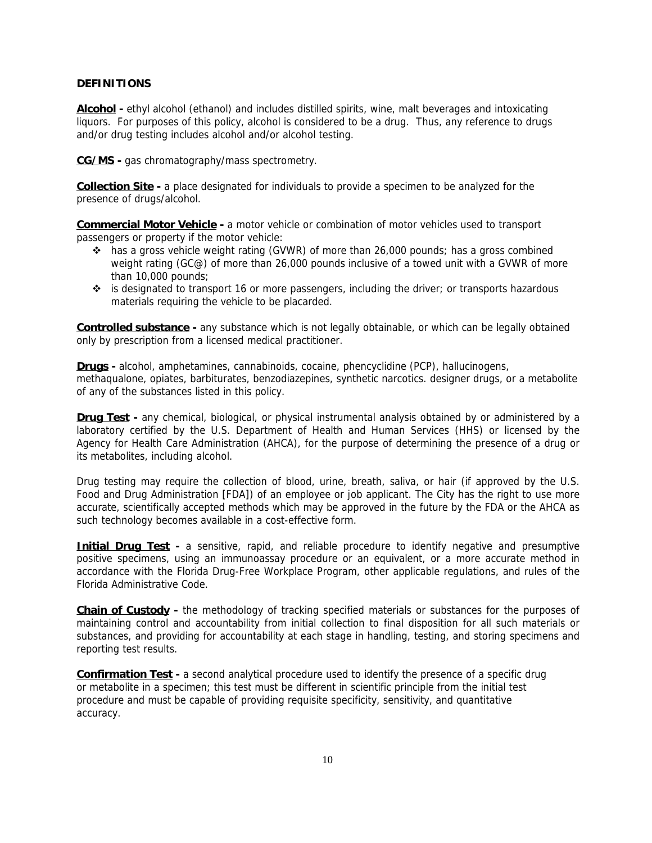# *DEFINITIONS*

**Alcohol -** ethyl alcohol (ethanol) and includes distilled spirits, wine, malt beverages and intoxicating liquors. For purposes of this policy, alcohol is considered to be a drug. Thus, any reference to drugs and/or drug testing includes alcohol and/or alcohol testing.

**CG/MS -** gas chromatography/mass spectrometry.

**Collection Site -** a place designated for individuals to provide a specimen to be analyzed for the presence of drugs/alcohol.

**Commercial Motor Vehicle -** a motor vehicle or combination of motor vehicles used to transport passengers or property if the motor vehicle:

- $\cdot \cdot$  has a gross vehicle weight rating (GVWR) of more than 26,000 pounds; has a gross combined weight rating (GC@) of more than 26,000 pounds inclusive of a towed unit with a GVWR of more than 10,000 pounds;
- $\div$  is designated to transport 16 or more passengers, including the driver; or transports hazardous materials requiring the vehicle to be placarded.

**Controlled substance -** any substance which is not legally obtainable, or which can be legally obtained only by prescription from a licensed medical practitioner.

**Drugs -** alcohol, amphetamines, cannabinoids, cocaine, phencyclidine (PCP), hallucinogens, methaqualone, opiates, barbiturates, benzodiazepines, synthetic narcotics. designer drugs, or a metabolite of any of the substances listed in this policy.

**Drug Test -** any chemical, biological, or physical instrumental analysis obtained by or administered by a laboratory certified by the U.S. Department of Health and Human Services (HHS) or licensed by the Agency for Health Care Administration (AHCA), for the purpose of determining the presence of a drug or its metabolites, including alcohol.

Drug testing may require the collection of blood, urine, breath, saliva, or hair (if approved by the U.S. Food and Drug Administration [FDA]) of an employee or job applicant. The City has the right to use more accurate, scientifically accepted methods which may be approved in the future by the FDA or the AHCA as such technology becomes available in a cost-effective form.

**Initial Drug Test** - a sensitive, rapid, and reliable procedure to identify negative and presumptive positive specimens, using an immunoassay procedure or an equivalent, or a more accurate method in accordance with the Florida Drug-Free Workplace Program, other applicable regulations, and rules of the Florida Administrative Code.

**Chain of Custody -** the methodology of tracking specified materials or substances for the purposes of maintaining control and accountability from initial collection to final disposition for all such materials or substances, and providing for accountability at each stage in handling, testing, and storing specimens and reporting test results.

**Confirmation Test -** a second analytical procedure used to identify the presence of a specific drug or metabolite in a specimen; this test must be different in scientific principle from the initial test procedure and must be capable of providing requisite specificity, sensitivity, and quantitative accuracy.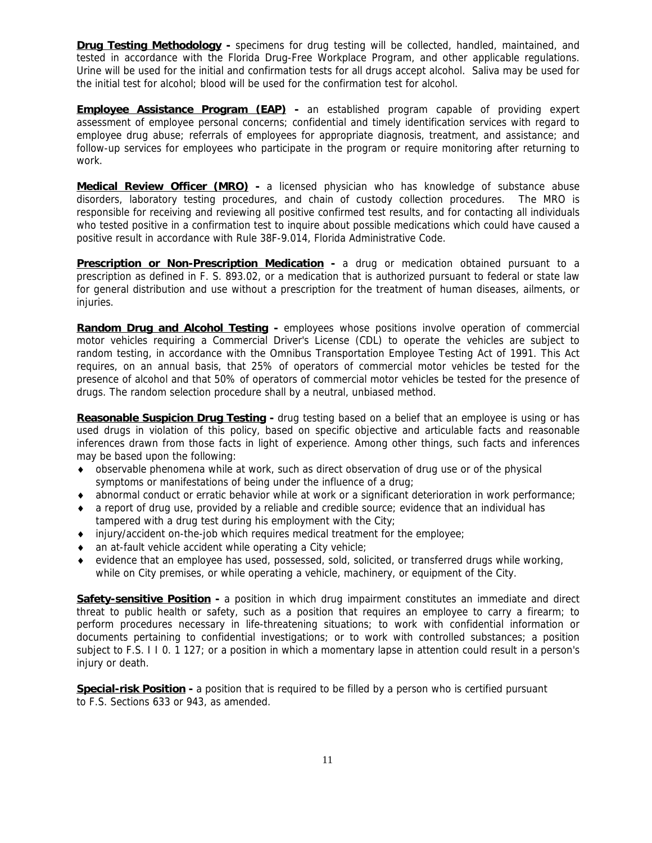**Drug Testing Methodology -** specimens for drug testing will be collected, handled, maintained, and tested in accordance with the Florida Drug-Free Workplace Program, and other applicable regulations. Urine will be used for the initial and confirmation tests for all drugs accept alcohol. Saliva may be used for the initial test for alcohol; blood will be used for the confirmation test for alcohol.

**Employee Assistance Program (EAP) -** an established program capable of providing expert assessment of employee personal concerns; confidential and timely identification services with regard to employee drug abuse; referrals of employees for appropriate diagnosis, treatment, and assistance; and follow-up services for employees who participate in the program or require monitoring after returning to work.

**Medical Review Officer (MRO) -** a licensed physician who has knowledge of substance abuse disorders, laboratory testing procedures, and chain of custody collection procedures. The MRO is responsible for receiving and reviewing all positive confirmed test results, and for contacting all individuals who tested positive in a confirmation test to inquire about possible medications which could have caused a positive result in accordance with Rule 38F-9.014, Florida Administrative Code.

**Prescription or Non-Prescription Medication -** a drug or medication obtained pursuant to a prescription as defined in F. S. 893.02, or a medication that is authorized pursuant to federal or state law for general distribution and use without a prescription for the treatment of human diseases, ailments, or injuries.

**Random Drug and Alcohol Testing -** employees whose positions involve operation of commercial motor vehicles requiring a Commercial Driver's License (CDL) to operate the vehicles are subject to random testing, in accordance with the Omnibus Transportation Employee Testing Act of 1991. This Act requires, on an annual basis, that 25% of operators of commercial motor vehicles be tested for the presence of alcohol and that 50% of operators of commercial motor vehicles be tested for the presence of drugs. The random selection procedure shall by a neutral, unbiased method.

**Reasonable Suspicion Drug Testing -** drug testing based on a belief that an employee is using or has used drugs in violation of this policy, based on specific objective and articulable facts and reasonable inferences drawn from those facts in light of experience. Among other things, such facts and inferences may be based upon the following:

- observable phenomena while at work, such as direct observation of drug use or of the physical symptoms or manifestations of being under the influence of a drug;
- abnormal conduct or erratic behavior while at work or a significant deterioration in work performance;
- a report of drug use, provided by a reliable and credible source; evidence that an individual has tampered with a drug test during his employment with the City;
- injury/accident on-the-job which requires medical treatment for the employee;
- an at-fault vehicle accident while operating a City vehicle;
- evidence that an employee has used, possessed, sold, solicited, or transferred drugs while working, while on City premises, or while operating a vehicle, machinery, or equipment of the City.

**Safety-sensitive Position** - a position in which drug impairment constitutes an immediate and direct threat to public health or safety, such as a position that requires an employee to carry a firearm; to perform procedures necessary in life-threatening situations; to work with confidential information or documents pertaining to confidential investigations; or to work with controlled substances; a position subject to F.S. I I 0. 1 127; or a position in which a momentary lapse in attention could result in a person's injury or death.

**Special-risk Position -** a position that is required to be filled by a person who is certified pursuant to F.S. Sections 633 or 943, as amended.